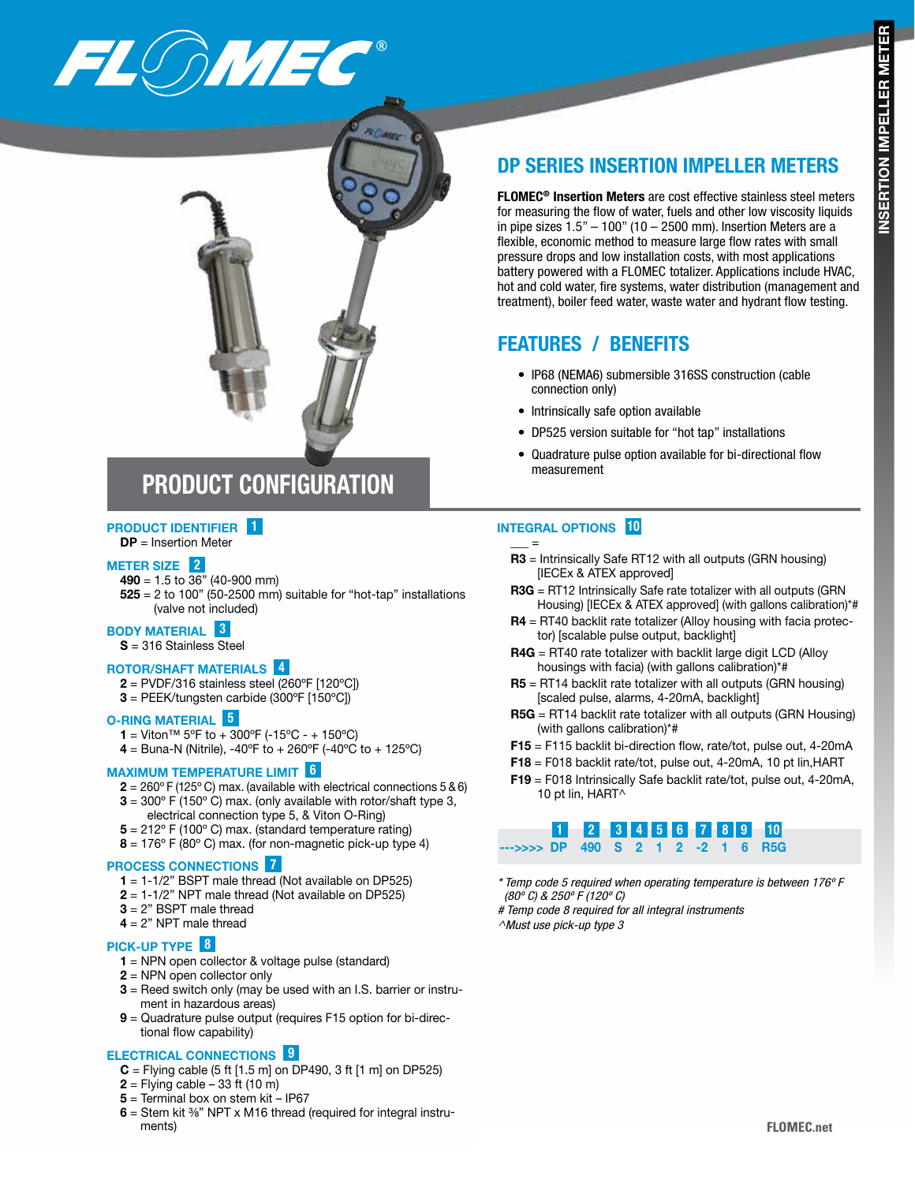

# DP SERIES INSERTION IMPELLER METERS

FLOMEC® Insertion Meters are cost effective stainless steel meters for measuring the flow of water, fuels and other low viscosity liquids in pipe sizes  $1.5" - 100"$  (10 – 2500 mm). Insertion Meters are a flexible, economic method to measure large flow rates with small pressure drops and low installation costs, with most applications battery powered with a FLOMEC totalizer. Applications include HVAC, hot and cold water, fire systems, water distribution (management and treatment), boiler feed water, waste water and hydrant flow testing.

## FEATURES / BENEFITS

- IP68 (NEMA6) submersible 316SS construction (cable connection only)
- Intrinsically safe option available
- DP525 version suitable for "hot tap" installations
- Quadrature pulse option available for bi-directional flow measurement

# PRODUCT CONFIGURATION

## PRODUCT IDENTIFIER 1

### $DP = Insertion$  Meter

#### METER SIZE<sup>2</sup>

490 = 1.5 to 36" (40-900 mm)  $525 = 2$  to 100" (50-2500 mm) suitable for "hot-tap" installations (valve not included)

### BODY MATERIAL 3

S = 316 Stainless Steel

#### ROTOR/SHAFT MATERIALS 4

- $2 = PVDF/316$  stainless steel (260°F [120°C])
- $3 = PEEK/tungsten carbide (300°F [150°C])$

#### O-RING MATERIAL 5

- 1 = Viton<sup>™</sup> 5°F to + 300°F (-15°C + 150°C)
- 4 = Buna-N (Nitrile), -40°F to + 260°F (-40°C to + 125°C)

#### MAXIMUM TEMPERATURE LIMIT 6

- $2 = 260^{\circ}$  F (125° C) max. (available with electrical connections 5 & 6)
- $3 = 300^{\circ}$  F (150 $^{\circ}$  C) max. (only available with rotor/shaft type 3,
- electrical connection type 5, & Viton O-Ring)
- $5 = 212^{\circ}$  F (100 $^{\circ}$  C) max. (standard temperature rating)
- $8 = 176^{\circ}$  F (80 $^{\circ}$  C) max. (for non-magnetic pick-up type 4)

#### PROCESS CONNECTIONS 7

- $1 = 1-1/2$ " BSPT male thread (Not available on DP525)
- $2 = 1-1/2$ " NPT male thread (Not available on DP525)
- 3 = 2" BSPT male thread
- $4 = 2"$  NPT male thread

#### PICK-UP TYPE **8**

- 1 = NPN open collector & voltage pulse (standard)
- 2 = NPN open collector only
- $3$  = Reed switch only (may be used with an I.S. barrier or instrument in hazardous areas)
- 9 = Quadrature pulse output (requires F15 option for bi-directional flow capability)

#### ELECTRICAL CONNECTIONS 9

- $C =$  Flying cable (5 ft [1.5 m] on DP490, 3 ft [1 m] on DP525)
- $2 =$  Flying cable 33 ft (10 m)
- 5 = Terminal box on stem kit IP67
- $6$  = Stem kit  $\frac{3}{8}$ " NPT x M16 thread (required for integral instruments)

### INTEGRAL OPTIONS 10

 $_{-}$  =

- R3 = Intrinsically Safe RT12 with all outputs (GRN housing) [IECEx & ATEX approved]
- R3G = RT12 Intrinsically Safe rate totalizer with all outputs (GRN Housing) [IECEx & ATEX approved] (with gallons calibration)\*#
- R4 = RT40 backlit rate totalizer (Alloy housing with facia protector) [scalable pulse output, backlight]
- R4G = RT40 rate totalizer with backlit large digit LCD (Alloy housings with facia) (with gallons calibration)\*#
- R5 = RT14 backlit rate totalizer with all outputs (GRN housing) [scaled pulse, alarms, 4-20mA, backlight]
- R5G = RT14 backlit rate totalizer with all outputs (GRN Housing) (with gallons calibration)\*#
- F15 = F115 backlit bi-direction flow, rate/tot, pulse out, 4-20mA
- F18 = F018 backlit rate/tot, pulse out, 4-20mA, 10 pt lin,HART
- F19 = F018 Intrinsically Safe backlit rate/tot, pulse out, 4-20mA, 10 pt lin, HART^



- *\* Temp code 5 required when operating temperature is between 176º F (80º C) & 250º F (120º C)*
- *# Temp code 8 required for all integral instruments*
- *^Must use pick-up type 3*